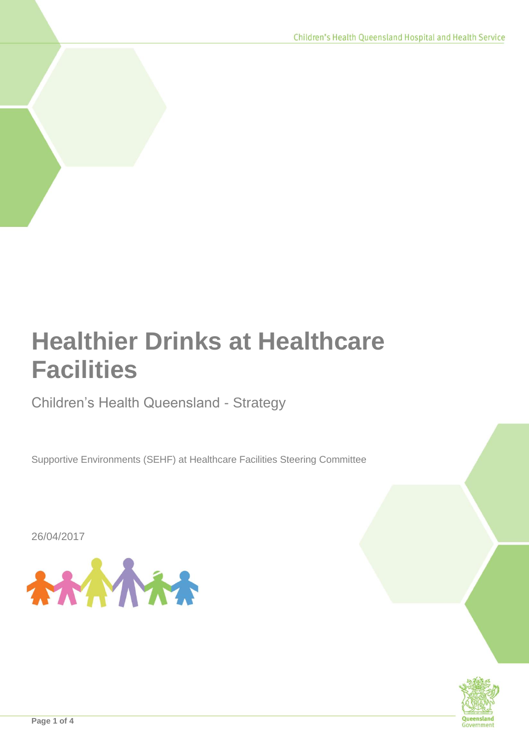# **Healthier Drinks at Healthcare Facilities**

# Children's Health Queensland - Strategy

Supportive Environments (SEHF) at Healthcare Facilities Steering Committee

26/04/2017



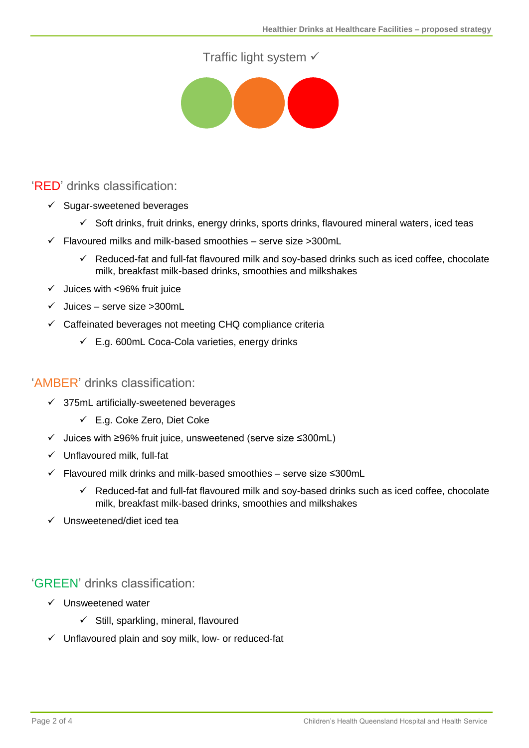# Traffic light system √



# 'RED' drinks classification:

- $\checkmark$  Sugar-sweetened beverages
	- $\checkmark$  Soft drinks, fruit drinks, energy drinks, sports drinks, flavoured mineral waters, iced teas
- $\checkmark$  Flavoured milks and milk-based smoothies serve size >300mL
	- $\checkmark$  Reduced-fat and full-fat flavoured milk and soy-based drinks such as iced coffee, chocolate milk, breakfast milk-based drinks, smoothies and milkshakes
- $\checkmark$  Juices with <96% fruit juice
- $\checkmark$  Juices serve size >300mL
- $\checkmark$  Caffeinated beverages not meeting CHQ compliance criteria
	- $\checkmark$  E.g. 600mL Coca-Cola varieties, energy drinks

#### 'AMBER' drinks classification:

- $\checkmark$  375mL artificially-sweetened beverages
	- E.g. Coke Zero, Diet Coke
- Juices with ≥96% fruit juice, unsweetened (serve size ≤300mL)
- $\checkmark$  Unflavoured milk, full-fat
- Flavoured milk drinks and milk-based smoothies serve size ≤300mL
	- $\checkmark$  Reduced-fat and full-fat flavoured milk and sov-based drinks such as iced coffee, chocolate milk, breakfast milk-based drinks, smoothies and milkshakes
- $\checkmark$  Unsweetened/diet iced tea

'GREEN' drinks classification:

- $\checkmark$  Unsweetened water
	- $\checkmark$  Still, sparkling, mineral, flavoured
- $\checkmark$  Unflavoured plain and soy milk, low- or reduced-fat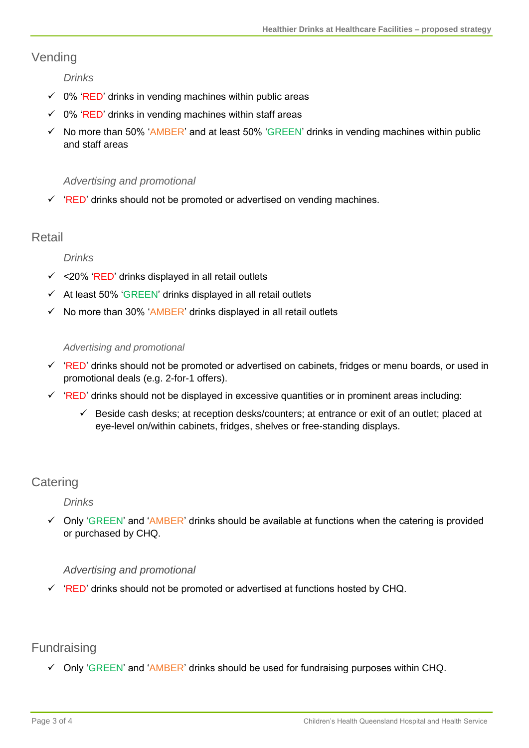# Vending

*Drinks*

- $\checkmark$  0% 'RED' drinks in vending machines within public areas
- $\checkmark$  0% 'RED' drinks in vending machines within staff areas
- $\checkmark$  No more than 50% 'AMBER' and at least 50% 'GREEN' drinks in vending machines within public and staff areas

#### *Advertising and promotional*

 $\checkmark$  'RED' drinks should not be promoted or advertised on vending machines.

### Retail

#### *Drinks*

- $\checkmark$  <20% 'RED' drinks displayed in all retail outlets
- $\checkmark$  At least 50% 'GREEN' drinks displayed in all retail outlets
- $\checkmark$  No more than 30% 'AMBER' drinks displayed in all retail outlets

#### *Advertising and promotional*

- $\checkmark$  'RED' drinks should not be promoted or advertised on cabinets, fridges or menu boards, or used in promotional deals (e.g. 2-for-1 offers).
- $\checkmark$  'RED' drinks should not be displayed in excessive quantities or in prominent areas including:
	- $\checkmark$  Beside cash desks; at reception desks/counters; at entrance or exit of an outlet; placed at eye-level on/within cabinets, fridges, shelves or free-standing displays.

# **Catering**

#### *Drinks*

 $\checkmark$  Only 'GREEN' and 'AMBER' drinks should be available at functions when the catering is provided or purchased by CHQ.

#### *Advertising and promotional*

 $\checkmark$  'RED' drinks should not be promoted or advertised at functions hosted by CHQ.

# **Fundraising**

 $\checkmark$  Only 'GREEN' and 'AMBER' drinks should be used for fundraising purposes within CHQ.